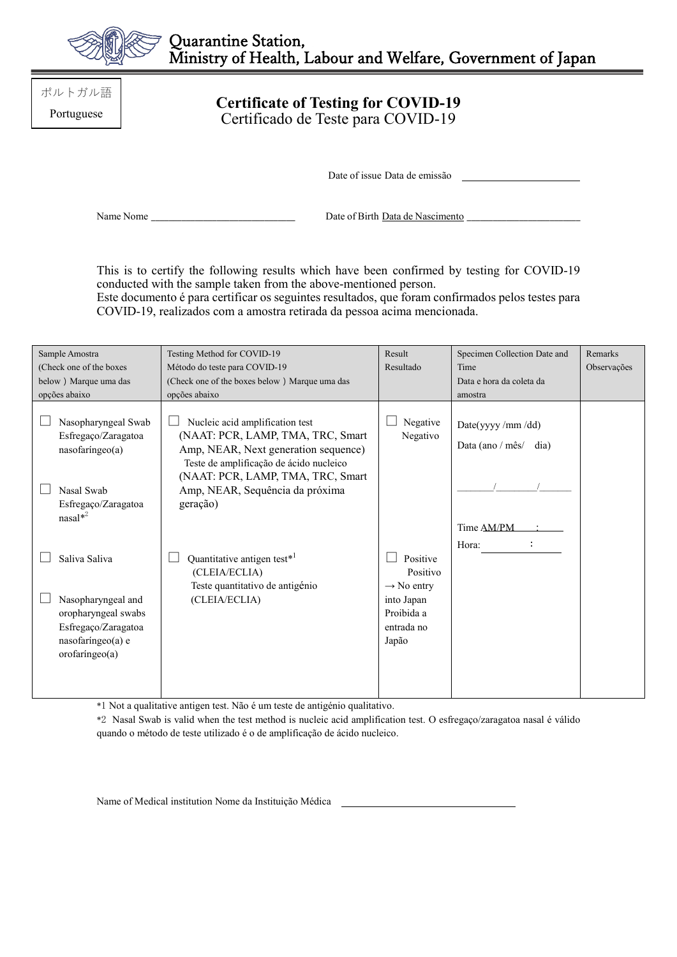

ポルトガル語 Portuguese

## **Certificate of Testing for COVID-19** Certificado de Teste para COVID-19

Date of issue Data de emissão

Name Nome \_\_\_\_\_\_\_\_\_\_\_\_\_\_\_\_\_\_\_\_\_\_\_\_\_\_\_\_\_\_\_\_\_ Date of Birth Data de Nascimento \_\_\_\_\_\_\_\_\_\_\_\_\_\_\_\_\_\_\_\_\_\_\_\_\_\_

This is to certify the following results which have been confirmed by testing for COVID-19 conducted with the sample taken from the above-mentioned person.

Este documento é para certificar os seguintes resultados, que foram confirmados pelos testes para COVID-19, realizados com a amostra retirada da pessoa acima mencionada.

| Sample Amostra                                                                                                  | Testing Method for COVID-19                                                                                                                                                                                                                 | Result                                                                    | Specimen Collection Date and                               | Remarks     |
|-----------------------------------------------------------------------------------------------------------------|---------------------------------------------------------------------------------------------------------------------------------------------------------------------------------------------------------------------------------------------|---------------------------------------------------------------------------|------------------------------------------------------------|-------------|
| (Check one of the boxes)                                                                                        | Método do teste para COVID-19                                                                                                                                                                                                               | Resultado                                                                 | Time                                                       | Observações |
| below) Marque uma das                                                                                           | (Check one of the boxes below) Marque uma das                                                                                                                                                                                               |                                                                           | Data e hora da coleta da                                   |             |
| opções abaixo                                                                                                   | opções abaixo                                                                                                                                                                                                                               |                                                                           | amostra                                                    |             |
| Nasopharyngeal Swab<br>Esfregaço/Zaragatoa<br>nasofaríngeo(a)<br>Nasal Swab<br>Esfregaço/Zaragatoa<br>$nasal*2$ | Nucleic acid amplification test<br>(NAAT: PCR, LAMP, TMA, TRC, Smart<br>Amp, NEAR, Next generation sequence)<br>Teste de amplificação de ácido nucleico<br>(NAAT: PCR, LAMP, TMA, TRC, Smart<br>Amp, NEAR, Sequência da próxima<br>geração) | Negative<br>Negativo                                                      | Date(yyyy/mm/dd)<br>Data (ano / mês/<br>dia)<br>Time AM/PM |             |
| Saliva Saliva                                                                                                   | Quantitative antigen test* <sup>1</sup><br>(CLEIA/ECLIA)                                                                                                                                                                                    | Positive<br>Positivo                                                      | Hora:                                                      |             |
| Nasopharyngeal and<br>oropharyngeal swabs<br>Esfregaço/Zaragatoa<br>nasofaríngeo(a) e<br>orofaringeo(a)         | Teste quantitativo de antigénio<br>(CLEIA/ECLIA)                                                                                                                                                                                            | $\rightarrow$ No entry<br>into Japan<br>Proibida a<br>entrada no<br>Japão |                                                            |             |

\*1 Not a qualitative antigen test. Não é um teste de antigénio qualitativo.

\*2 Nasal Swab is valid when the test method is nucleic acid amplification test. O esfregaço/zaragatoa nasal é válido quando o método de teste utilizado é o de amplificação de ácido nucleico.

Name of Medical institution Nome da Instituição Médica